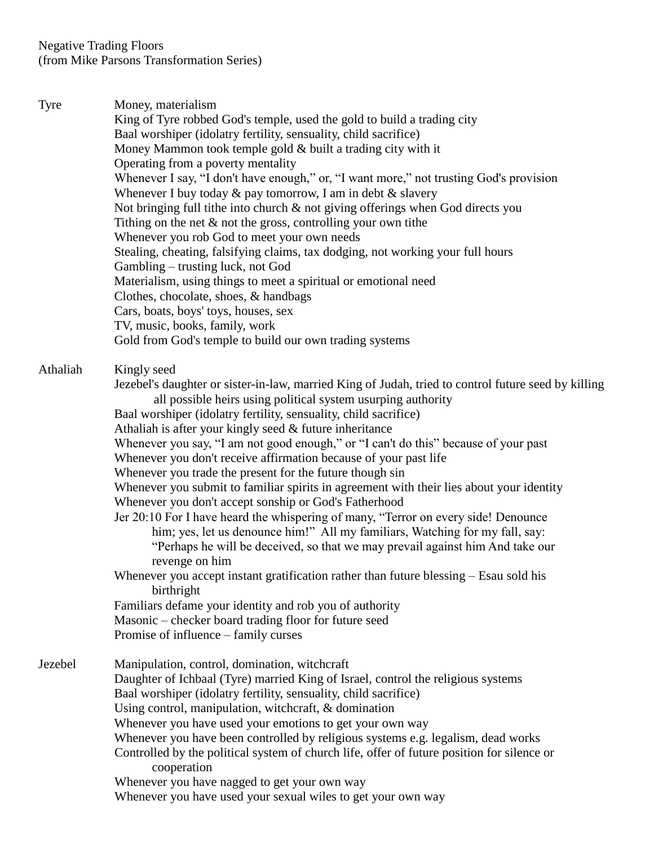Tyre Money, materialism King of Tyre robbed God's temple, used the gold to build a trading city Baal worshiper (idolatry fertility, sensuality, child sacrifice) Money Mammon took temple gold & built a trading city with it Operating from a poverty mentality Whenever I say, "I don't have enough," or, "I want more," not trusting God's provision Whenever I buy today  $\&$  pay tomorrow, I am in debt  $\&$  slavery Not bringing full tithe into church & not giving offerings when God directs you Tithing on the net & not the gross, controlling your own tithe Whenever you rob God to meet your own needs Stealing, cheating, falsifying claims, tax dodging, not working your full hours Gambling – trusting luck, not God Materialism, using things to meet a spiritual or emotional need Clothes, chocolate, shoes, & handbags Cars, boats, boys' toys, houses, sex TV, music, books, family, work Gold from God's temple to build our own trading systems Athaliah Kingly seed Jezebel's daughter or sister-in-law, married King of Judah, tried to control future seed by killing all possible heirs using political system usurping authority Baal worshiper (idolatry fertility, sensuality, child sacrifice) Athaliah is after your kingly seed & future inheritance Whenever you say, "I am not good enough," or "I can't do this" because of your past Whenever you don't receive affirmation because of your past life Whenever you trade the present for the future though sin Whenever you submit to familiar spirits in agreement with their lies about your identity Whenever you don't accept sonship or God's Fatherhood Jer 20:10 For I have heard the whispering of many, "Terror on every side! Denounce him; yes, let us denounce him!" All my familiars, Watching for my fall, say: "Perhaps he will be deceived, so that we may prevail against him And take our revenge on him Whenever you accept instant gratification rather than future blessing – Esau sold his birthright Familiars defame your identity and rob you of authority Masonic – checker board trading floor for future seed Promise of influence – family curses Jezebel Manipulation, control, domination, witchcraft Daughter of Ichbaal (Tyre) married King of Israel, control the religious systems Baal worshiper (idolatry fertility, sensuality, child sacrifice) Using control, manipulation, witchcraft, & domination Whenever you have used your emotions to get your own way Whenever you have been controlled by religious systems e.g. legalism, dead works Controlled by the political system of church life, offer of future position for silence or cooperation Whenever you have nagged to get your own way Whenever you have used your sexual wiles to get your own way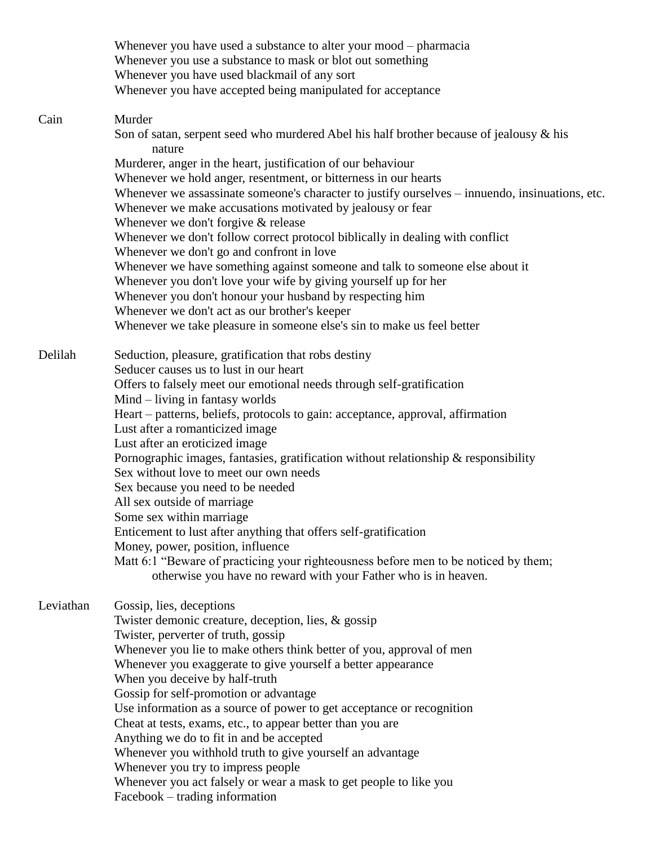|           | Whenever you have used a substance to alter your mood – pharmacia<br>Whenever you use a substance to mask or blot out something<br>Whenever you have used blackmail of any sort<br>Whenever you have accepted being manipulated for acceptance |
|-----------|------------------------------------------------------------------------------------------------------------------------------------------------------------------------------------------------------------------------------------------------|
| Cain      | Murder<br>Son of satan, serpent seed who murdered Abel his half brother because of jealousy & his<br>nature                                                                                                                                    |
|           | Murderer, anger in the heart, justification of our behaviour                                                                                                                                                                                   |
|           | Whenever we hold anger, resentment, or bitterness in our hearts                                                                                                                                                                                |
|           | Whenever we assassinate someone's character to justify ourselves – innuendo, insinuations, etc.                                                                                                                                                |
|           | Whenever we make accusations motivated by jealousy or fear                                                                                                                                                                                     |
|           | Whenever we don't forgive $&$ release                                                                                                                                                                                                          |
|           | Whenever we don't follow correct protocol biblically in dealing with conflict                                                                                                                                                                  |
|           | Whenever we don't go and confront in love                                                                                                                                                                                                      |
|           | Whenever we have something against someone and talk to someone else about it                                                                                                                                                                   |
|           | Whenever you don't love your wife by giving yourself up for her                                                                                                                                                                                |
|           | Whenever you don't honour your husband by respecting him                                                                                                                                                                                       |
|           | Whenever we don't act as our brother's keeper                                                                                                                                                                                                  |
|           | Whenever we take pleasure in someone else's sin to make us feel better                                                                                                                                                                         |
| Delilah   | Seduction, pleasure, gratification that robs destiny                                                                                                                                                                                           |
|           | Seducer causes us to lust in our heart                                                                                                                                                                                                         |
|           | Offers to falsely meet our emotional needs through self-gratification                                                                                                                                                                          |
|           | $Mind$ – living in fantasy worlds                                                                                                                                                                                                              |
|           | Heart – patterns, beliefs, protocols to gain: acceptance, approval, affirmation                                                                                                                                                                |
|           | Lust after a romanticized image                                                                                                                                                                                                                |
|           | Lust after an eroticized image                                                                                                                                                                                                                 |
|           | Pornographic images, fantasies, gratification without relationship & responsibility                                                                                                                                                            |
|           | Sex without love to meet our own needs                                                                                                                                                                                                         |
|           | Sex because you need to be needed                                                                                                                                                                                                              |
|           | All sex outside of marriage                                                                                                                                                                                                                    |
|           | Some sex within marriage                                                                                                                                                                                                                       |
|           | Enticement to lust after anything that offers self-gratification<br>Money, power, position, influence                                                                                                                                          |
|           | Matt 6:1 "Beware of practicing your righteousness before men to be noticed by them;                                                                                                                                                            |
|           | otherwise you have no reward with your Father who is in heaven.                                                                                                                                                                                |
|           |                                                                                                                                                                                                                                                |
| Leviathan | Gossip, lies, deceptions                                                                                                                                                                                                                       |
|           | Twister demonic creature, deception, lies, & gossip                                                                                                                                                                                            |
|           | Twister, perverter of truth, gossip                                                                                                                                                                                                            |
|           | Whenever you lie to make others think better of you, approval of men                                                                                                                                                                           |
|           | Whenever you exaggerate to give yourself a better appearance<br>When you deceive by half-truth                                                                                                                                                 |
|           | Gossip for self-promotion or advantage                                                                                                                                                                                                         |
|           | Use information as a source of power to get acceptance or recognition                                                                                                                                                                          |
|           | Cheat at tests, exams, etc., to appear better than you are                                                                                                                                                                                     |
|           | Anything we do to fit in and be accepted                                                                                                                                                                                                       |
|           | Whenever you withhold truth to give yourself an advantage                                                                                                                                                                                      |
|           | Whenever you try to impress people                                                                                                                                                                                                             |
|           | Whenever you act falsely or wear a mask to get people to like you                                                                                                                                                                              |
|           | Facebook – trading information                                                                                                                                                                                                                 |